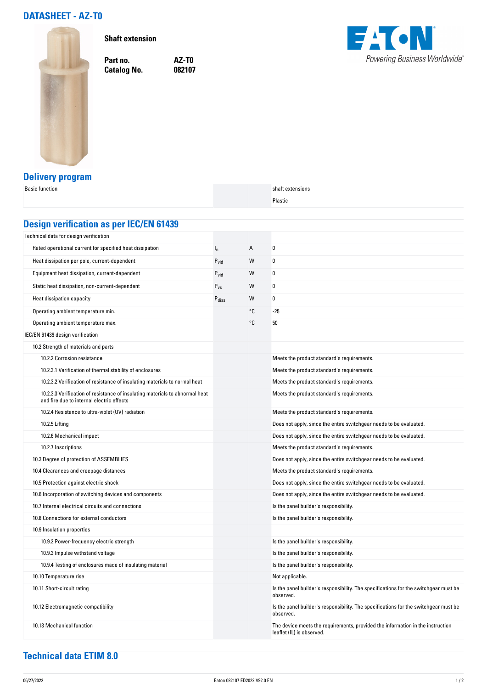## **DATASHEET - AZ-T0**



**Shaft extension**

**Catalog No.** 

**Part no. AZ-T0**



## **Delivery program**

| <b>Basic function</b>                                                                                                     |                   |    | shaft extensions                                                                                            |  |  |  |
|---------------------------------------------------------------------------------------------------------------------------|-------------------|----|-------------------------------------------------------------------------------------------------------------|--|--|--|
|                                                                                                                           |                   |    | Plastic                                                                                                     |  |  |  |
|                                                                                                                           |                   |    |                                                                                                             |  |  |  |
| <b>Design verification as per IEC/EN 61439</b>                                                                            |                   |    |                                                                                                             |  |  |  |
| Technical data for design verification                                                                                    |                   |    |                                                                                                             |  |  |  |
| Rated operational current for specified heat dissipation                                                                  | $I_{n}$           | А  | 0                                                                                                           |  |  |  |
| Heat dissipation per pole, current-dependent                                                                              | $P_{\text{vid}}$  | W  | 0                                                                                                           |  |  |  |
| Equipment heat dissipation, current-dependent                                                                             | $P_{\text{vid}}$  | W  | 0                                                                                                           |  |  |  |
| Static heat dissipation, non-current-dependent                                                                            | $P_{VS}$          | W  | 0                                                                                                           |  |  |  |
| Heat dissipation capacity                                                                                                 | P <sub>diss</sub> | W  | 0                                                                                                           |  |  |  |
| Operating ambient temperature min.                                                                                        |                   | °C | -25                                                                                                         |  |  |  |
| Operating ambient temperature max.                                                                                        |                   | °C | 50                                                                                                          |  |  |  |
| IEC/EN 61439 design verification                                                                                          |                   |    |                                                                                                             |  |  |  |
| 10.2 Strength of materials and parts                                                                                      |                   |    |                                                                                                             |  |  |  |
| 10.2.2 Corrosion resistance                                                                                               |                   |    | Meets the product standard's requirements.                                                                  |  |  |  |
| 10.2.3.1 Verification of thermal stability of enclosures                                                                  |                   |    | Meets the product standard's requirements.                                                                  |  |  |  |
| 10.2.3.2 Verification of resistance of insulating materials to normal heat                                                |                   |    | Meets the product standard's requirements.                                                                  |  |  |  |
| 10.2.3.3 Verification of resistance of insulating materials to abnormal heat<br>and fire due to internal electric effects |                   |    | Meets the product standard's requirements.                                                                  |  |  |  |
| 10.2.4 Resistance to ultra-violet (UV) radiation                                                                          |                   |    | Meets the product standard's requirements.                                                                  |  |  |  |
| 10.2.5 Lifting                                                                                                            |                   |    | Does not apply, since the entire switchgear needs to be evaluated.                                          |  |  |  |
| 10.2.6 Mechanical impact                                                                                                  |                   |    | Does not apply, since the entire switchgear needs to be evaluated.                                          |  |  |  |
| 10.2.7 Inscriptions                                                                                                       |                   |    | Meets the product standard's requirements.                                                                  |  |  |  |
| 10.3 Degree of protection of ASSEMBLIES                                                                                   |                   |    | Does not apply, since the entire switchgear needs to be evaluated.                                          |  |  |  |
| 10.4 Clearances and creepage distances                                                                                    |                   |    | Meets the product standard's requirements.                                                                  |  |  |  |
| 10.5 Protection against electric shock                                                                                    |                   |    | Does not apply, since the entire switchgear needs to be evaluated.                                          |  |  |  |
| 10.6 Incorporation of switching devices and components                                                                    |                   |    | Does not apply, since the entire switchgear needs to be evaluated.                                          |  |  |  |
| 10.7 Internal electrical circuits and connections                                                                         |                   |    | Is the panel builder's responsibility.                                                                      |  |  |  |
| 10.8 Connections for external conductors                                                                                  |                   |    | Is the panel builder's responsibility.                                                                      |  |  |  |
| 10.9 Insulation properties                                                                                                |                   |    |                                                                                                             |  |  |  |
| 10.9.2 Power-frequency electric strength                                                                                  |                   |    | Is the panel builder's responsibility.                                                                      |  |  |  |
| 10.9.3 Impulse withstand voltage                                                                                          |                   |    | Is the panel builder's responsibility.                                                                      |  |  |  |
| 10.9.4 Testing of enclosures made of insulating material                                                                  |                   |    | Is the panel builder's responsibility.                                                                      |  |  |  |
| 10.10 Temperature rise                                                                                                    |                   |    | Not applicable.                                                                                             |  |  |  |
| 10.11 Short-circuit rating                                                                                                |                   |    | Is the panel builder's responsibility. The specifications for the switchgear must be<br>observed.           |  |  |  |
| 10.12 Electromagnetic compatibility                                                                                       |                   |    | Is the panel builder's responsibility. The specifications for the switchgear must be<br>observed.           |  |  |  |
| 10.13 Mechanical function                                                                                                 |                   |    | The device meets the requirements, provided the information in the instruction<br>leaflet (IL) is observed. |  |  |  |

## **Technical data ETIM 8.0**